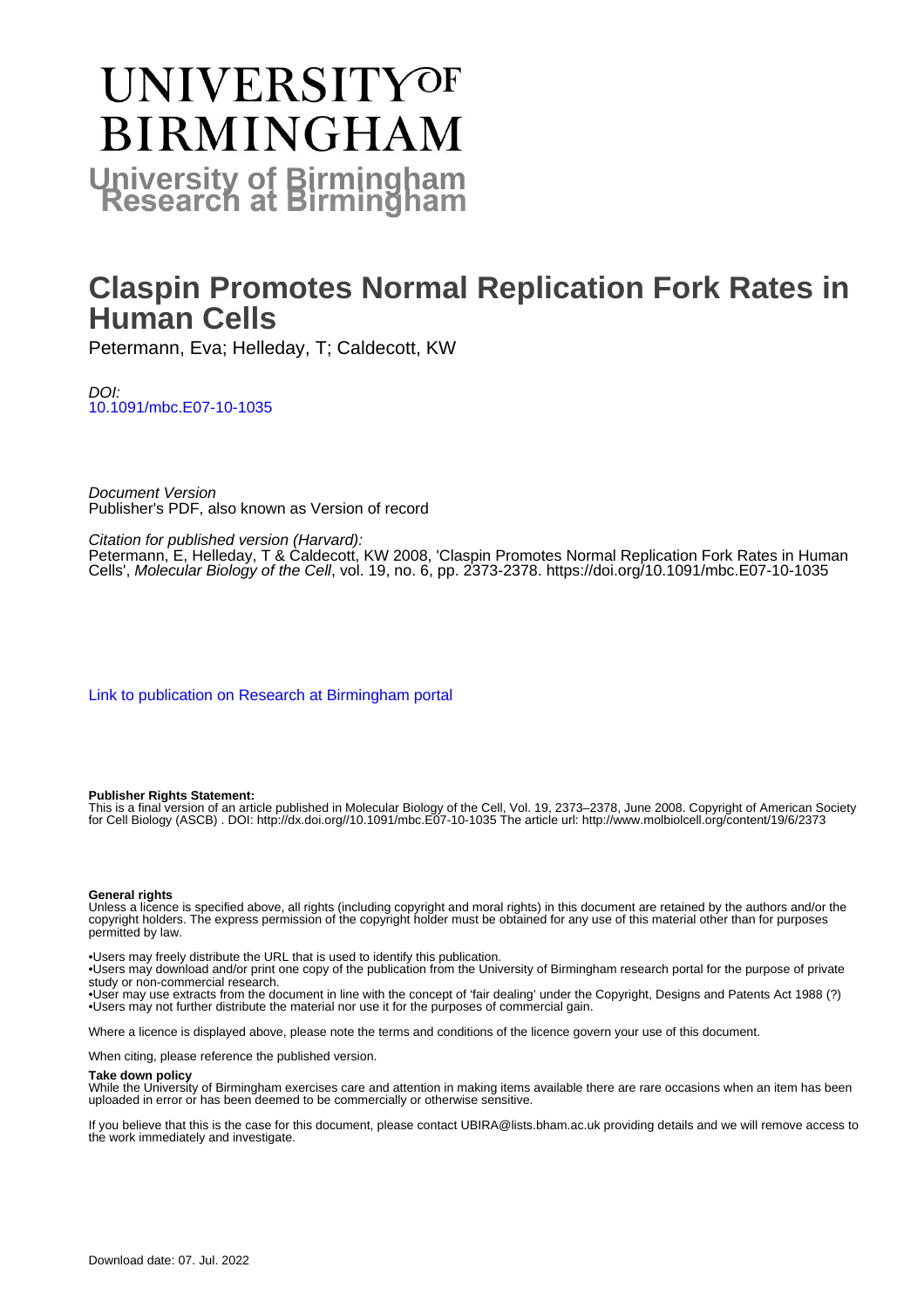# **UNIVERSITYOF BIRMINGHAM University of Birmingham**

## **Claspin Promotes Normal Replication Fork Rates in Human Cells**

Petermann, Eva; Helleday, T; Caldecott, KW

DOI: [10.1091/mbc.E07-10-1035](https://doi.org/10.1091/mbc.E07-10-1035)

Document Version Publisher's PDF, also known as Version of record

Citation for published version (Harvard):

Petermann, E, Helleday, T & Caldecott, KW 2008, 'Claspin Promotes Normal Replication Fork Rates in Human Cells', Molecular Biology of the Cell, vol. 19, no. 6, pp. 2373-2378. <https://doi.org/10.1091/mbc.E07-10-1035>

[Link to publication on Research at Birmingham portal](https://birmingham.elsevierpure.com/en/publications/b08b4702-d8fc-4822-bd28-6193e52c934a)

#### **Publisher Rights Statement:**

This is a final version of an article published in Molecular Biology of the Cell, Vol. 19, 2373–2378, June 2008. Copyright of American Society for Cell Biology (ASCB) . DOI: http://dx.doi.org//10.1091/mbc.E07-10-1035 The article url: http://www.molbiolcell.org/content/19/6/2373

#### **General rights**

Unless a licence is specified above, all rights (including copyright and moral rights) in this document are retained by the authors and/or the copyright holders. The express permission of the copyright holder must be obtained for any use of this material other than for purposes permitted by law.

• Users may freely distribute the URL that is used to identify this publication.

• Users may download and/or print one copy of the publication from the University of Birmingham research portal for the purpose of private study or non-commercial research.

• User may use extracts from the document in line with the concept of 'fair dealing' under the Copyright, Designs and Patents Act 1988 (?) • Users may not further distribute the material nor use it for the purposes of commercial gain.

Where a licence is displayed above, please note the terms and conditions of the licence govern your use of this document.

When citing, please reference the published version.

#### **Take down policy**

While the University of Birmingham exercises care and attention in making items available there are rare occasions when an item has been uploaded in error or has been deemed to be commercially or otherwise sensitive.

If you believe that this is the case for this document, please contact UBIRA@lists.bham.ac.uk providing details and we will remove access to the work immediately and investigate.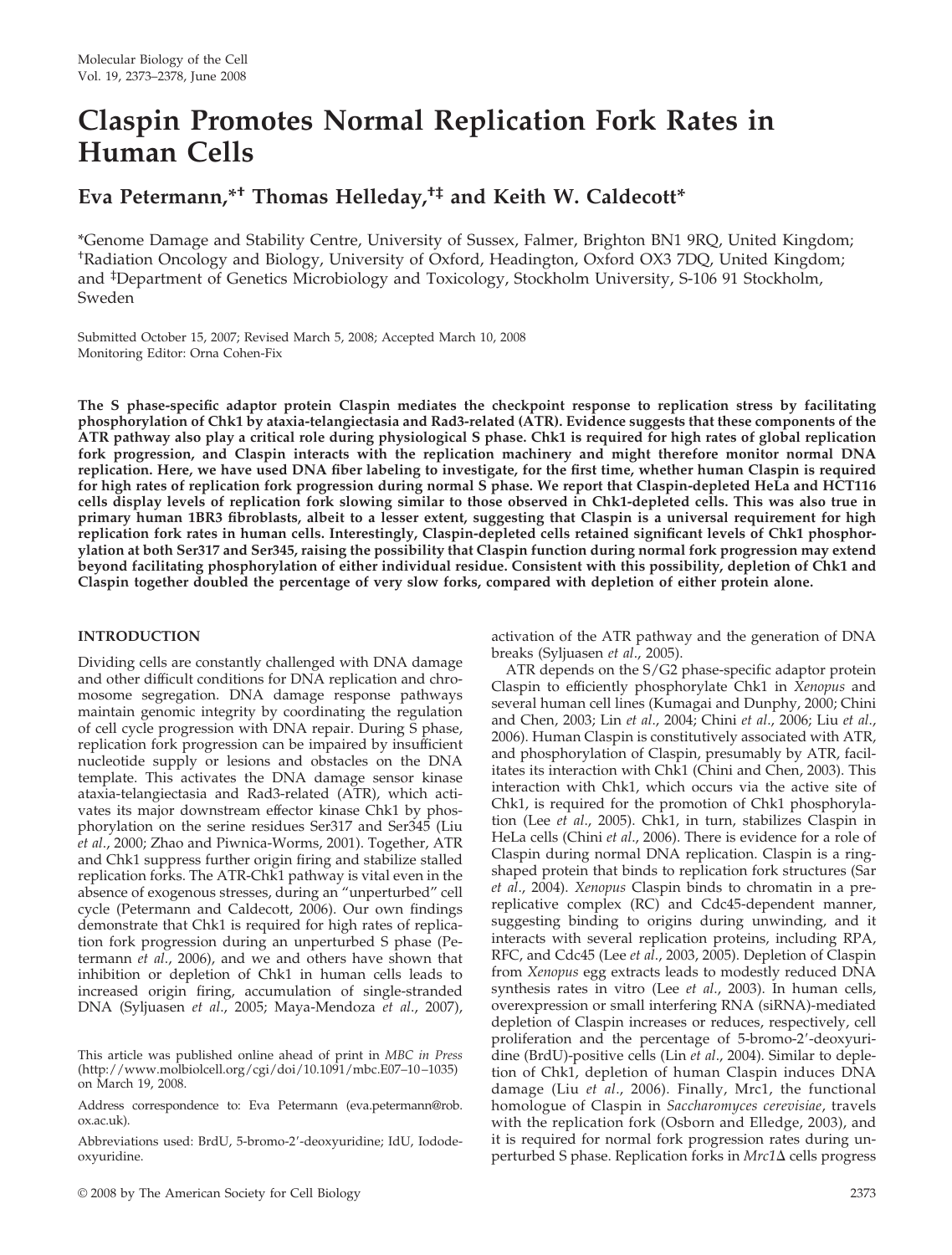### **Claspin Promotes Normal Replication Fork Rates in Human Cells**

### **Eva Petermann,\*† Thomas Helleday,†‡ and Keith W. Caldecott\***

\*Genome Damage and Stability Centre, University of Sussex, Falmer, Brighton BN1 9RQ, United Kingdom; † Radiation Oncology and Biology, University of Oxford, Headington, Oxford OX3 7DQ, United Kingdom; and ‡ Department of Genetics Microbiology and Toxicology, Stockholm University, S-106 91 Stockholm, Sweden

Submitted October 15, 2007; Revised March 5, 2008; Accepted March 10, 2008 Monitoring Editor: Orna Cohen-Fix

**The S phase-specific adaptor protein Claspin mediates the checkpoint response to replication stress by facilitating phosphorylation of Chk1 by ataxia-telangiectasia and Rad3-related (ATR). Evidence suggests that these components of the ATR pathway also play a critical role during physiological S phase. Chk1 is required for high rates of global replication fork progression, and Claspin interacts with the replication machinery and might therefore monitor normal DNA replication. Here, we have used DNA fiber labeling to investigate, for the first time, whether human Claspin is required for high rates of replication fork progression during normal S phase. We report that Claspin-depleted HeLa and HCT116 cells display levels of replication fork slowing similar to those observed in Chk1-depleted cells. This was also true in primary human 1BR3 fibroblasts, albeit to a lesser extent, suggesting that Claspin is a universal requirement for high replication fork rates in human cells. Interestingly, Claspin-depleted cells retained significant levels of Chk1 phosphorylation at both Ser317 and Ser345, raising the possibility that Claspin function during normal fork progression may extend beyond facilitating phosphorylation of either individual residue. Consistent with this possibility, depletion of Chk1 and Claspin together doubled the percentage of very slow forks, compared with depletion of either protein alone.**

#### **INTRODUCTION**

Dividing cells are constantly challenged with DNA damage and other difficult conditions for DNA replication and chromosome segregation. DNA damage response pathways maintain genomic integrity by coordinating the regulation of cell cycle progression with DNA repair. During S phase, replication fork progression can be impaired by insufficient nucleotide supply or lesions and obstacles on the DNA template. This activates the DNA damage sensor kinase ataxia-telangiectasia and Rad3-related (ATR), which activates its major downstream effector kinase Chk1 by phosphorylation on the serine residues Ser317 and Ser345 (Liu *et al*., 2000; Zhao and Piwnica-Worms, 2001). Together, ATR and Chk1 suppress further origin firing and stabilize stalled replication forks. The ATR-Chk1 pathway is vital even in the absence of exogenous stresses, during an "unperturbed" cell cycle (Petermann and Caldecott, 2006). Our own findings demonstrate that Chk1 is required for high rates of replication fork progression during an unperturbed S phase (Petermann *et al*., 2006), and we and others have shown that inhibition or depletion of Chk1 in human cells leads to increased origin firing, accumulation of single-stranded DNA (Syljuasen *et al*., 2005; Maya-Mendoza *et al*., 2007),

Abbreviations used: BrdU, 5-bromo-2-deoxyuridine; IdU, Iododeoxyuridine.

activation of the ATR pathway and the generation of DNA breaks (Syljuasen *et al*., 2005).

ATR depends on the S/G2 phase-specific adaptor protein Claspin to efficiently phosphorylate Chk1 in *Xenopus* and several human cell lines (Kumagai and Dunphy, 2000; Chini and Chen, 2003; Lin *et al*., 2004; Chini *et al*., 2006; Liu *et al*., 2006). Human Claspin is constitutively associated with ATR, and phosphorylation of Claspin, presumably by ATR, facilitates its interaction with Chk1 (Chini and Chen, 2003). This interaction with Chk1, which occurs via the active site of Chk1, is required for the promotion of Chk1 phosphorylation (Lee *et al*., 2005). Chk1, in turn, stabilizes Claspin in HeLa cells (Chini *et al*., 2006). There is evidence for a role of Claspin during normal DNA replication. Claspin is a ringshaped protein that binds to replication fork structures (Sar *et al*., 2004). *Xenopus* Claspin binds to chromatin in a prereplicative complex (RC) and Cdc45-dependent manner, suggesting binding to origins during unwinding, and it interacts with several replication proteins, including RPA, RFC, and Cdc45 (Lee *et al*., 2003, 2005). Depletion of Claspin from *Xenopus* egg extracts leads to modestly reduced DNA synthesis rates in vitro (Lee *et al*., 2003). In human cells, overexpression or small interfering RNA (siRNA)-mediated depletion of Claspin increases or reduces, respectively, cell proliferation and the percentage of 5-bromo-2-deoxyuridine (BrdU)-positive cells (Lin *et al*., 2004). Similar to depletion of Chk1, depletion of human Claspin induces DNA damage (Liu *et al*., 2006). Finally, Mrc1, the functional homologue of Claspin in *Saccharomyces cerevisiae*, travels with the replication fork (Osborn and Elledge, 2003), and it is required for normal fork progression rates during unperturbed S phase. Replication forks in *Mrc1*Δ cells progress

This article was published online ahead of print in *MBC in Press* (http://www.molbiolcell.org/cgi/doi/10.1091/mbc.E07–10–1035) on March 19, 2008.

Address correspondence to: Eva Petermann (eva.petermann@rob. ox.ac.uk).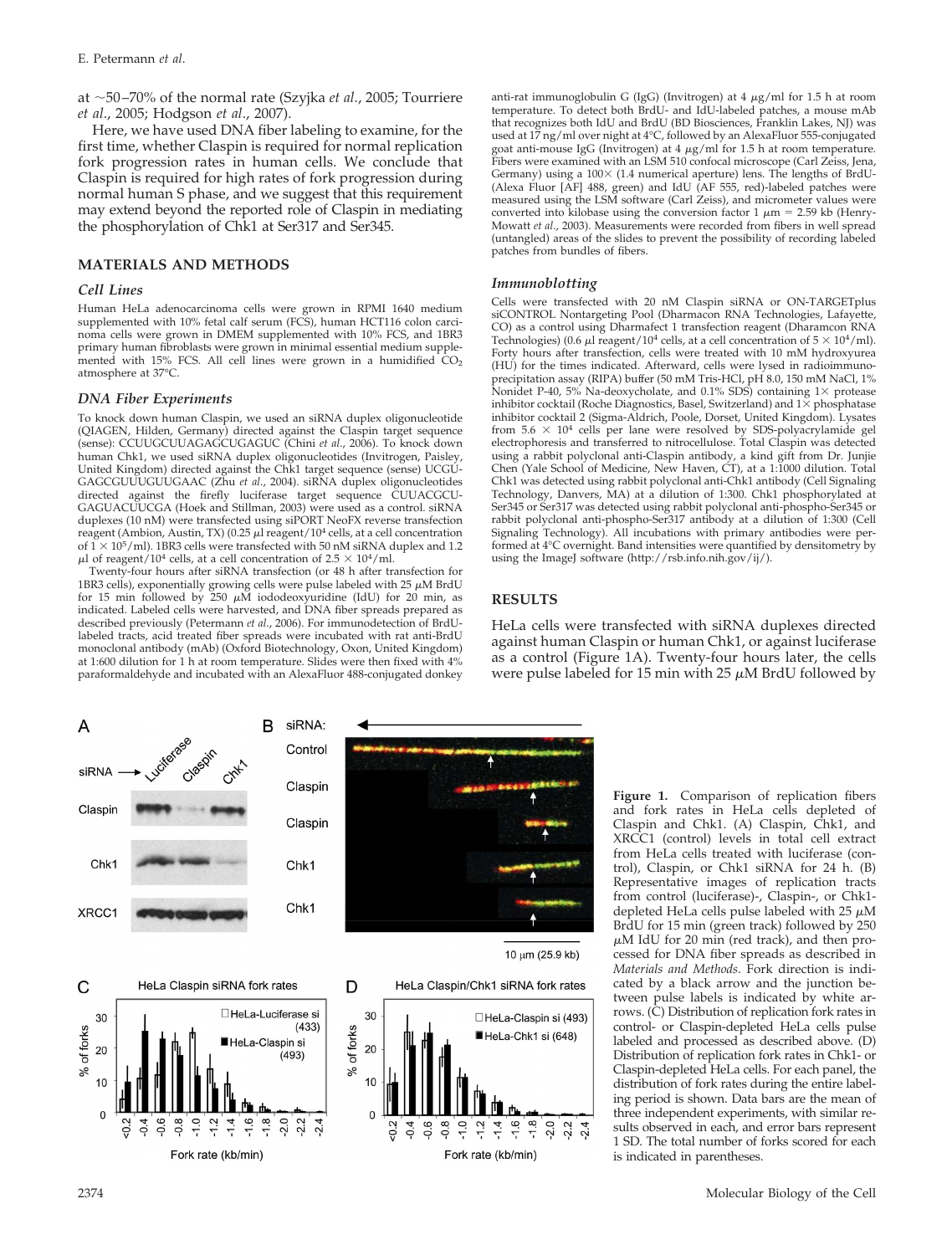at 50–70% of the normal rate (Szyjka *et al*., 2005; Tourriere *et al*., 2005; Hodgson *et al*., 2007).

Here, we have used DNA fiber labeling to examine, for the first time, whether Claspin is required for normal replication fork progression rates in human cells. We conclude that Claspin is required for high rates of fork progression during normal human S phase, and we suggest that this requirement may extend beyond the reported role of Claspin in mediating the phosphorylation of Chk1 at Ser317 and Ser345.

#### **MATERIALS AND METHODS**

#### *Cell Lines*

Human HeLa adenocarcinoma cells were grown in RPMI 1640 medium supplemented with 10% fetal calf serum (FCS), human HCT116 colon carcinoma cells were grown in DMEM supplemented with 10% FCS, and 1BR3 primary human fibroblasts were grown in minimal essential medium supplemented with 15% FCS. All cell lines were grown in a humidified  $CO<sub>2</sub>$ atmosphere at 37°C.

#### *DNA Fiber Experiments*

To knock down human Claspin, we used an siRNA duplex oligonucleotide (QIAGEN, Hilden, Germany) directed against the Claspin target sequence (sense): CCUUGCUUAGAGCUGAGUC (Chini *et al*., 2006). To knock down human Chk1, we used siRNA duplex oligonucleotides (Invitrogen, Paisley, United Kingdom) directed against the Chk1 target sequence (sense) UCGU-GAGCGUUUGUUGAAC (Zhu et al., 2004). siRNA duplex oligonucleotides directed against the firefly luciferase target sequence CUUACGCU-GAGUACUUCGA (Hoek and Stillman, 2003) were used as a control. siRNA duplexes (10 nM) were transfected using siPORT NeoFX reverse transfection reagent (Ambion, Austin, TX) (0.25  $\mu$ l reagent/10<sup>4</sup> cells, at a cell concentration of  $1 \times 10^5$ /ml). 1BR3 cells were transfected with 50 nM siRNA duplex and 1.2  $\mu$ l of reagent/10<sup>4</sup> cells, at a cell concentration of 2.5  $\times$  10<sup>4</sup>/ml.

Twenty-four hours after siRNA transfection (or 48 h after transfection for 1BR3 cells), exponentially growing cells were pulse labeled with 25  $\mu$ M BrdU for 15 min followed by 250  $\mu$ M iododeoxyuridine (IdU) for 20 min, as indicated. Labeled cells were harvested, and DNA fiber spreads prepared as described previously (Petermann *et al*., 2006). For immunodetection of BrdUlabeled tracts, acid treated fiber spreads were incubated with rat anti-BrdU monoclonal antibody (mAb) (Oxford Biotechnology, Oxon, United Kingdom) at 1:600 dilution for 1 h at room temperature. Slides were then fixed with 4% paraformaldehyde and incubated with an AlexaFluor 488-conjugated donkey anti-rat immunoglobulin G (IgG) (Invitrogen) at 4  $\mu$ g/ml for 1.5 h at room temperature. To detect both BrdU- and IdU-labeled patches, a mouse mAb that recognizes both IdU and BrdU (BD Biosciences, Franklin Lakes, NJ) was used at 17 ng/ml over night at 4°C, followed by an AlexaFluor 555-conjugated goat anti-mouse IgG (Invitrogen) at 4 µg/ml for 1.5 h at room temperature.<br>Fibers were examined with an LSM 510 confocal microscope (Carl Zeiss, Jena, Germany) using a  $100 \times (1.4$  numerical aperture) lens. The lengths of BrdU-(Alexa Fluor [AF] 488, green) and IdU (AF 555, red)-labeled patches were measured using the LSM software (Carl Zeiss), and micrometer values were converted into kilobase using the conversion factor 1  $\mu$ m = 2.59 kb (Henry-Mowatt *et al*., 2003). Measurements were recorded from fibers in well spread (untangled) areas of the slides to prevent the possibility of recording labeled patches from bundles of fibers.

#### *Immunoblotting*

Cells were transfected with 20 nM Claspin siRNA or ON-TARGETplus siCONTROL Nontargeting Pool (Dharmacon RNA Technologies, Lafayette, CO) as a control using Dharmafect 1 transfection reagent (Dharamcon RNA Technologies) (0.6  $\mu$ l reagent/10<sup>4</sup> cells, at a cell concentration of  $5 \times 10^4/\text{ml}$ ). Forty hours after transfection, cells were treated with 10 mM hydroxyurea (HU) for the times indicated. Afterward, cells were lysed in radioimmunoprecipitation assay (RIPA) buffer (50 mM Tris-HCl, pH 8.0, 150 mM NaCl, 1% Nonidet P-40, 5% Na-deoxycholate, and 0.1% SDS) containing  $1\times$  protease inhibitor cocktail (Roche Diagnostics, Basel, Switzerland) and  $1\times$  phosphatase inhibitor cocktail 2 (Sigma-Aldrich, Poole, Dorset, United Kingdom). Lysates from  $5.6 \times 10^4$  cells per lane were resolved by SDS-polyacrylamide gel electrophoresis and transferred to nitrocellulose. Total Claspin was detected using a rabbit polyclonal anti-Claspin antibody, a kind gift from Dr. Junjie Chen (Yale School of Medicine, New Haven, CT), at a 1:1000 dilution. Total Chk1 was detected using rabbit polyclonal anti-Chk1 antibody (Cell Signaling Technology, Danvers, MA) at a dilution of 1:300. Chk1 phosphorylated at Ser345 or Ser317 was detected using rabbit polyclonal anti-phospho-Ser345 or rabbit polyclonal anti-phospho-Ser317 antibody at a dilution of 1:300 (Cell Signaling Technology). All incubations with primary antibodies were performed at 4°C overnight. Band intensities were quantified by densitometry by using the ImageJ software (http://rsb.info.nih.gov/ij/).

#### **RESULTS**

HeLa cells were transfected with siRNA duplexes directed against human Claspin or human Chk1, or against luciferase as a control (Figure 1A). Twenty-four hours later, the cells were pulse labeled for 15 min with 25  $\mu$ M BrdU followed by







10 μm (25.9 kb)





**Figure 1.** Comparison of replication fibers and fork rates in HeLa cells depleted of Claspin and Chk1. (A) Claspin, Chk1, and XRCC1 (control) levels in total cell extract from HeLa cells treated with luciferase (control), Claspin, or Chk1 siRNA for 24 h. (B) Representative images of replication tracts from control (luciferase)-, Claspin-, or Chk1 depleted HeLa cells pulse labeled with  $25 \mu M$ BrdU for 15 min (green track) followed by 250  $\mu$ M IdU for 20 min (red track), and then processed for DNA fiber spreads as described in *Materials and Methods*. Fork direction is indicated by a black arrow and the junction between pulse labels is indicated by white arrows. (C) Distribution of replication fork rates in control- or Claspin-depleted HeLa cells pulse labeled and processed as described above. (D) Distribution of replication fork rates in Chk1- or Claspin-depleted HeLa cells. For each panel, the distribution of fork rates during the entire labeling period is shown. Data bars are the mean of three independent experiments, with similar results observed in each, and error bars represent 1 SD. The total number of forks scored for each is indicated in parentheses.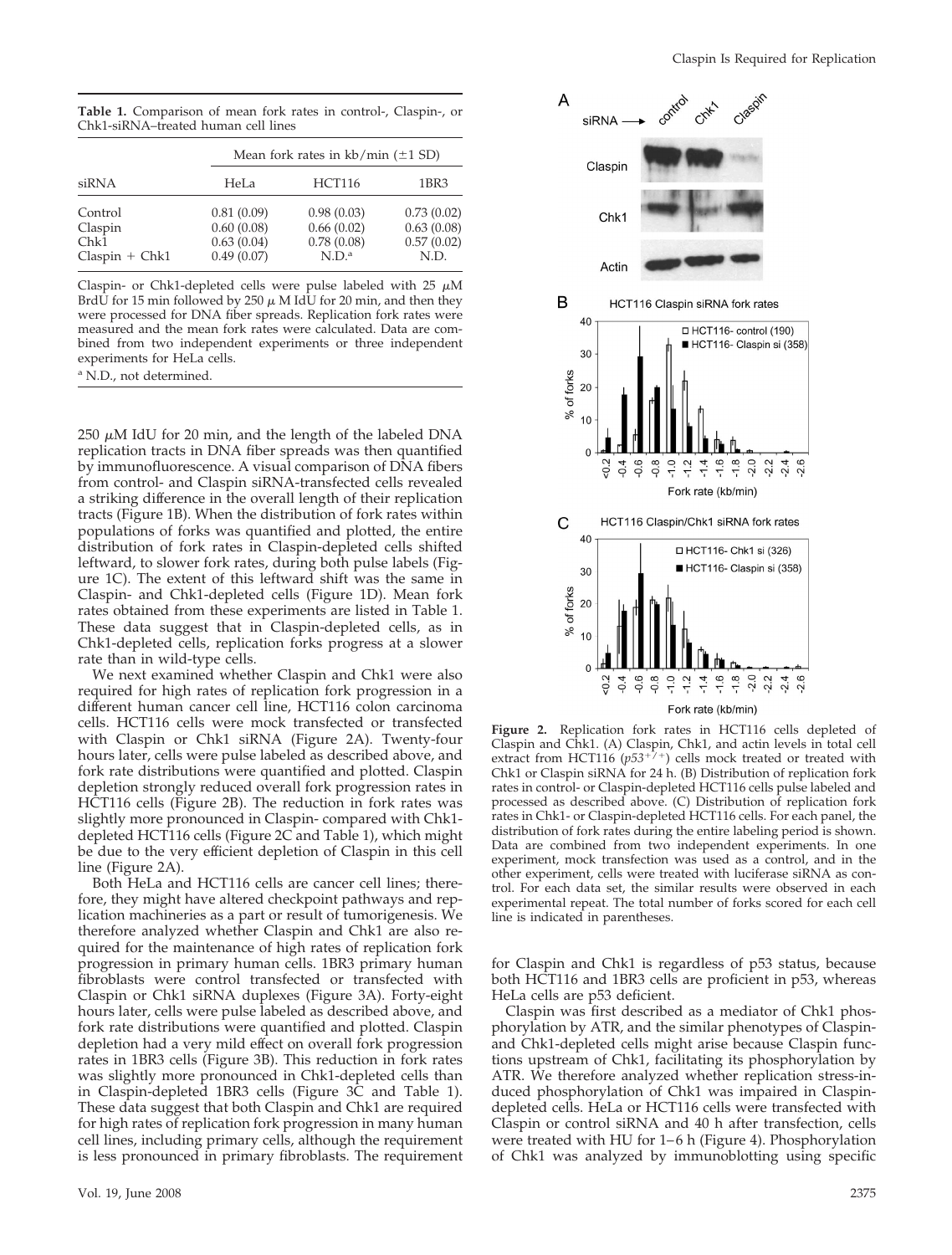**Table 1.** Comparison of mean fork rates in control-, Claspin-, or Chk1-siRNA–treated human cell lines

| siRNA                      | Mean fork rates in $kb/min (\pm 1 SD)$ |                                        |                                        |
|----------------------------|----------------------------------------|----------------------------------------|----------------------------------------|
|                            | HeLa                                   | <b>HCT116</b>                          | 1BR3                                   |
| Control<br>Claspin<br>Chk1 | 0.81(0.09)<br>0.60(0.08)<br>0.63(0.04) | 0.98(0.03)<br>0.66(0.02)<br>0.78(0.08) | 0.73(0.02)<br>0.63(0.08)<br>0.57(0.02) |
| $Claspin + Chk1$           | 0.49(0.07)                             | N.D. <sup>a</sup>                      | N.D.                                   |

Claspin- or Chk1-depleted cells were pulse labeled with 25  $\mu$ M BrdU for 15 min followed by 250  $\mu$  M IdU for 20 min, and then they were processed for DNA fiber spreads. Replication fork rates were measured and the mean fork rates were calculated. Data are combined from two independent experiments or three independent experiments for HeLa cells.

<sup>a</sup> N.D., not determined.

 $250 \mu M$  IdU for 20 min, and the length of the labeled DNA replication tracts in DNA fiber spreads was then quantified by immunofluorescence. A visual comparison of DNA fibers from control- and Claspin siRNA-transfected cells revealed a striking difference in the overall length of their replication tracts (Figure 1B). When the distribution of fork rates within populations of forks was quantified and plotted, the entire distribution of fork rates in Claspin-depleted cells shifted leftward, to slower fork rates, during both pulse labels (Figure 1C). The extent of this leftward shift was the same in Claspin- and Chk1-depleted cells (Figure 1D). Mean fork rates obtained from these experiments are listed in Table 1. These data suggest that in Claspin-depleted cells, as in Chk1-depleted cells, replication forks progress at a slower rate than in wild-type cells.

We next examined whether Claspin and Chk1 were also required for high rates of replication fork progression in a different human cancer cell line, HCT116 colon carcinoma cells. HCT116 cells were mock transfected or transfected with Claspin or Chk1 siRNA (Figure 2A). Twenty-four hours later, cells were pulse labeled as described above, and fork rate distributions were quantified and plotted. Claspin depletion strongly reduced overall fork progression rates in HCT116 cells (Figure 2B). The reduction in fork rates was slightly more pronounced in Claspin- compared with Chk1 depleted HCT116 cells (Figure 2C and Table 1), which might be due to the very efficient depletion of Claspin in this cell line (Figure 2A).

Both HeLa and HCT116 cells are cancer cell lines; therefore, they might have altered checkpoint pathways and replication machineries as a part or result of tumorigenesis. We therefore analyzed whether Claspin and Chk1 are also required for the maintenance of high rates of replication fork progression in primary human cells. 1BR3 primary human fibroblasts were control transfected or transfected with Claspin or Chk1 siRNA duplexes (Figure 3A). Forty-eight hours later, cells were pulse labeled as described above, and fork rate distributions were quantified and plotted. Claspin depletion had a very mild effect on overall fork progression rates in 1BR3 cells (Figure 3B). This reduction in fork rates was slightly more pronounced in Chk1-depleted cells than in Claspin-depleted 1BR3 cells (Figure 3C and Table 1). These data suggest that both Claspin and Chk1 are required for high rates of replication fork progression in many human cell lines, including primary cells, although the requirement is less pronounced in primary fibroblasts. The requirement



**Figure 2.** Replication fork rates in HCT116 cells depleted of Claspin and Chk1. (A) Claspin, Chk1, and actin levels in total cell<br>extract from HCT116 (*p53*<sup>+/+</sup>) cells mock treated or treated with Chk1 or Claspin siRNA for 24 h. (B) Distribution of replication fork rates in control- or Claspin-depleted HCT116 cells pulse labeled and processed as described above. (C) Distribution of replication fork rates in Chk1- or Claspin-depleted HCT116 cells. For each panel, the distribution of fork rates during the entire labeling period is shown. Data are combined from two independent experiments. In one experiment, mock transfection was used as a control, and in the other experiment, cells were treated with luciferase siRNA as control. For each data set, the similar results were observed in each experimental repeat. The total number of forks scored for each cell line is indicated in parentheses.

for Claspin and Chk1 is regardless of p53 status, because both HCT116 and 1BR3 cells are proficient in p53, whereas HeLa cells are p53 deficient.

Claspin was first described as a mediator of Chk1 phosphorylation by ATR, and the similar phenotypes of Claspinand Chk1-depleted cells might arise because Claspin functions upstream of Chk1, facilitating its phosphorylation by ATR. We therefore analyzed whether replication stress-induced phosphorylation of Chk1 was impaired in Claspindepleted cells. HeLa or HCT116 cells were transfected with Claspin or control siRNA and 40 h after transfection, cells were treated with HU for 1–6 h (Figure 4). Phosphorylation of Chk1 was analyzed by immunoblotting using specific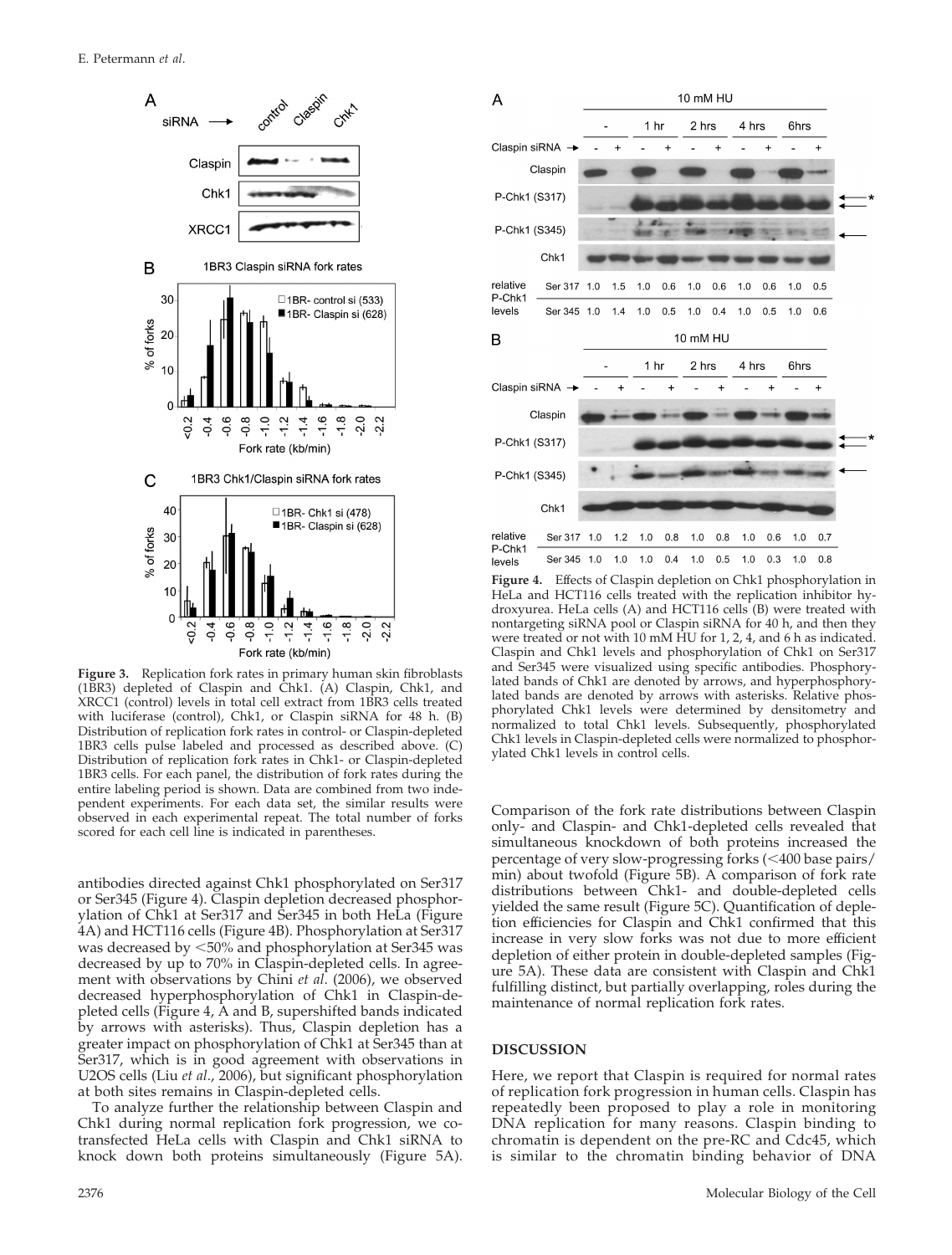

**Figure 3.** Replication fork rates in primary human skin fibroblasts (1BR3) depleted of Claspin and Chk1. (A) Claspin, Chk1, and XRCC1 (control) levels in total cell extract from 1BR3 cells treated with luciferase (control), Chk1, or Claspin siRNA for 48 h. (B) Distribution of replication fork rates in control- or Claspin-depleted 1BR3 cells pulse labeled and processed as described above. (C) Distribution of replication fork rates in Chk1- or Claspin-depleted 1BR3 cells. For each panel, the distribution of fork rates during the entire labeling period is shown. Data are combined from two independent experiments. For each data set, the similar results were observed in each experimental repeat. The total number of forks scored for each cell line is indicated in parentheses.

antibodies directed against Chk1 phosphorylated on Ser317 or Ser345 (Figure 4). Claspin depletion decreased phosphorylation of Chk1 at Ser317 and Ser345 in both HeLa (Figure 4A) and HCT116 cells (Figure 4B). Phosphorylation at Ser317 was decreased by 50% and phosphorylation at Ser345 was decreased by up to 70% in Claspin-depleted cells. In agreement with observations by Chini *et al*. (2006), we observed decreased hyperphosphorylation of Chk1 in Claspin-depleted cells (Figure 4, A and B, supershifted bands indicated by arrows with asterisks). Thus, Claspin depletion has a greater impact on phosphorylation of Chk1 at Ser345 than at Ser317, which is in good agreement with observations in U2OS cells (Liu *et al*., 2006), but significant phosphorylation at both sites remains in Claspin-depleted cells.

To analyze further the relationship between Claspin and Chk1 during normal replication fork progression, we cotransfected HeLa cells with Claspin and Chk1 siRNA to knock down both proteins simultaneously (Figure 5A).



**Figure 4.** Effects of Claspin depletion on Chk1 phosphorylation in HeLa and HCT116 cells treated with the replication inhibitor hydroxyurea. HeLa cells (A) and HCT116 cells (B) were treated with nontargeting siRNA pool or Claspin siRNA for 40 h, and then they were treated or not with 10 mM HU for 1, 2, 4, and 6 h as indicated. Claspin and Chk1 levels and phosphorylation of Chk1 on Ser317 and Ser345 were visualized using specific antibodies. Phosphorylated bands of Chk1 are denoted by arrows, and hyperphosphorylated bands are denoted by arrows with asterisks. Relative phosphorylated Chk1 levels were determined by densitometry and normalized to total Chk1 levels. Subsequently, phosphorylated Chk1 levels in Claspin-depleted cells were normalized to phosphorylated Chk1 levels in control cells.

Comparison of the fork rate distributions between Claspin only- and Claspin- and Chk1-depleted cells revealed that simultaneous knockdown of both proteins increased the percentage of very slow-progressing forks (<400 base pairs/ min) about twofold (Figure 5B). A comparison of fork rate distributions between Chk1- and double-depleted cells yielded the same result (Figure 5C). Quantification of depletion efficiencies for Claspin and Chk1 confirmed that this increase in very slow forks was not due to more efficient depletion of either protein in double-depleted samples (Figure 5A). These data are consistent with Claspin and Chk1 fulfilling distinct, but partially overlapping, roles during the maintenance of normal replication fork rates.

#### **DISCUSSION**

Here, we report that Claspin is required for normal rates of replication fork progression in human cells. Claspin has repeatedly been proposed to play a role in monitoring DNA replication for many reasons. Claspin binding to chromatin is dependent on the pre-RC and Cdc45, which is similar to the chromatin binding behavior of DNA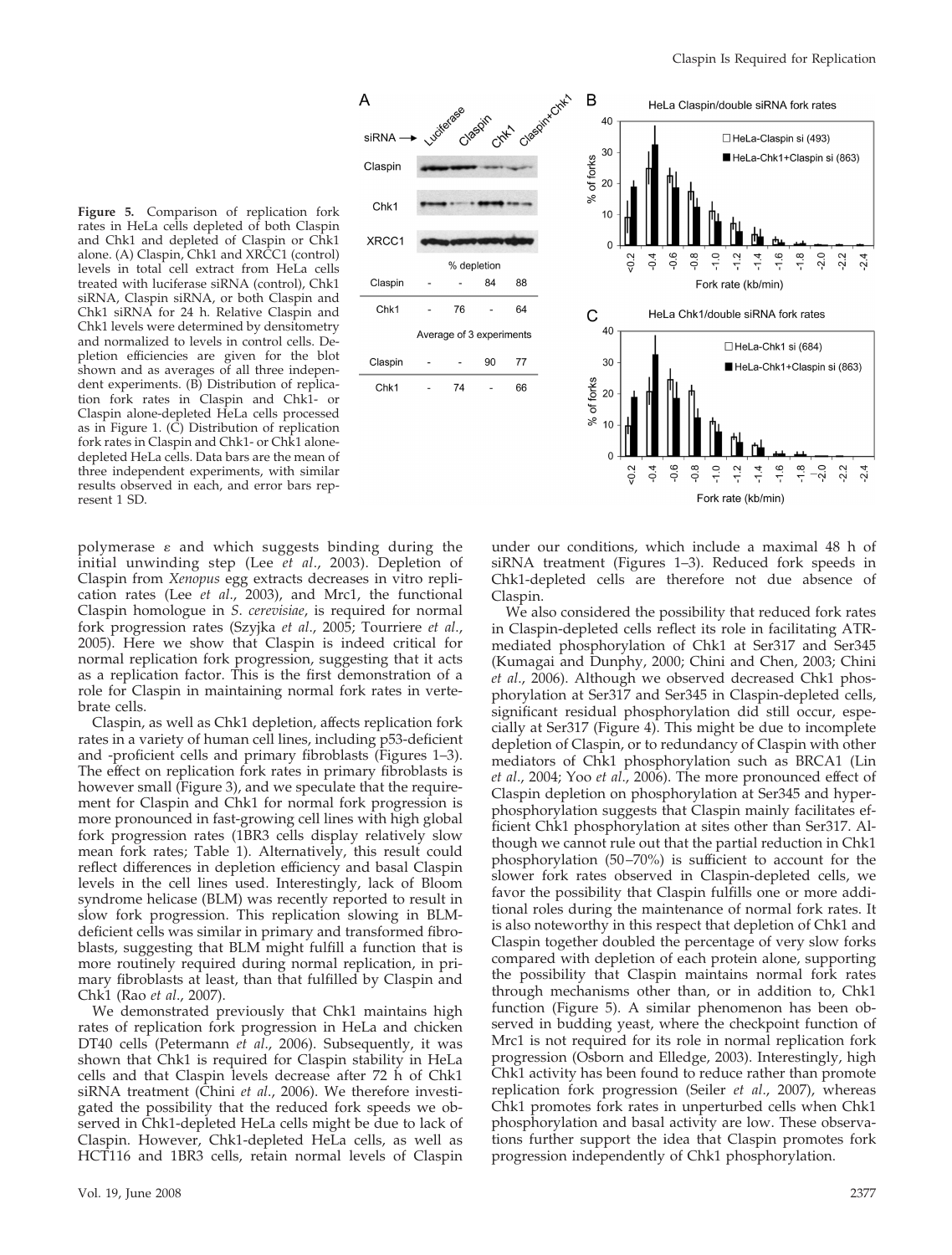**Figure 5.** Comparison of replication fork rates in HeLa cells depleted of both Claspin and Chk1 and depleted of Claspin or Chk1 alone. (A) Claspin, Chk1 and XRCC1 (control) levels in total cell extract from HeLa cells treated with luciferase siRNA (control), Chk1 siRNA, Claspin siRNA, or both Claspin and Chk1 siRNA for 24 h. Relative Claspin and Chk1 levels were determined by densitometry and normalized to levels in control cells. Depletion efficiencies are given for the blot shown and as averages of all three independent experiments. (B) Distribution of replication fork rates in Claspin and Chk1- or Claspin alone-depleted HeLa cells processed as in Figure 1. (C) Distribution of replication fork rates in Claspin and Chk1- or Chk1 alonedepleted HeLa cells. Data bars are the mean of three independent experiments, with similar results observed in each, and error bars represent 1 SD.

B HeLa Claspin/double siRNA fork rates clasgin 40 Chyt. siRNA HeLa-Claspin si (493) 30 HeLa-Chk1+Claspin si (863) % of forks Claspir 20 Chk1  $10$ XRCC1  $\Omega$  $-1.6$  $-1.8$  $2.0$  $-1.0$  $-2.2$  $-0.4$  $0.6$ 8<br>O -12  $\frac{2}{3}$ % depletion Claspin 84 88 Fork rate (kb/min) Chk1 76 64 HeLa Chk1/double siRNA fork rates C 40 Average of 3 experiments HeLa-Chk1 si (684) Claspin 90 77 30 HeLa-Chk1+Claspin si (863) of forks 74 Chk1 66  $20$ ×,  $10$  $\overline{0}$  $-0.6$  $-2.0$  $-0.8$  $-1.6$  $-1.8$  $rac{2}{3}$  $-0.4$  $\frac{0}{1}$  $\frac{2}{1}$  $-1.4$  $22$  $-2.4$ 

Fork rate (kb/min)

polymerase  $\varepsilon$  and which suggests binding during the initial unwinding step (Lee *et al*., 2003). Depletion of Claspin from *Xenopus* egg extracts decreases in vitro replication rates (Lee *et al*., 2003), and Mrc1, the functional Claspin homologue in *S*. *cerevisiae*, is required for normal fork progression rates (Szyjka *et al*., 2005; Tourriere *et al*., 2005). Here we show that Claspin is indeed critical for normal replication fork progression, suggesting that it acts as a replication factor. This is the first demonstration of a role for Claspin in maintaining normal fork rates in vertebrate cells.

A

Claspin, as well as Chk1 depletion, affects replication fork rates in a variety of human cell lines, including p53-deficient and -proficient cells and primary fibroblasts (Figures 1–3). The effect on replication fork rates in primary fibroblasts is however small (Figure 3), and we speculate that the requirement for Claspin and Chk1 for normal fork progression is more pronounced in fast-growing cell lines with high global fork progression rates (1BR3 cells display relatively slow mean fork rates; Table 1). Alternatively, this result could reflect differences in depletion efficiency and basal Claspin levels in the cell lines used. Interestingly, lack of Bloom syndrome helicase (BLM) was recently reported to result in slow fork progression. This replication slowing in BLMdeficient cells was similar in primary and transformed fibroblasts, suggesting that BLM might fulfill a function that is more routinely required during normal replication, in primary fibroblasts at least, than that fulfilled by Claspin and Chk1 (Rao *et al*., 2007).

We demonstrated previously that Chk1 maintains high rates of replication fork progression in HeLa and chicken DT40 cells (Petermann *et al*., 2006). Subsequently, it was shown that Chk1 is required for Claspin stability in HeLa cells and that Claspin levels decrease after 72 h of Chk1 siRNA treatment (Chini *et al*., 2006). We therefore investigated the possibility that the reduced fork speeds we observed in Chk1-depleted HeLa cells might be due to lack of Claspin. However, Chk1-depleted HeLa cells, as well as HCT116 and 1BR3 cells, retain normal levels of Claspin under our conditions, which include a maximal 48 h of siRNA treatment (Figures 1–3). Reduced fork speeds in Chk1-depleted cells are therefore not due absence of Claspin.

We also considered the possibility that reduced fork rates in Claspin-depleted cells reflect its role in facilitating ATRmediated phosphorylation of Chk1 at Ser317 and Ser345 (Kumagai and Dunphy, 2000; Chini and Chen, 2003; Chini *et al*., 2006). Although we observed decreased Chk1 phosphorylation at Ser317 and Ser345 in Claspin-depleted cells, significant residual phosphorylation did still occur, especially at Ser317 (Figure 4). This might be due to incomplete depletion of Claspin, or to redundancy of Claspin with other mediators of Chk1 phosphorylation such as BRCA1 (Lin *et al*., 2004; Yoo *et al*., 2006). The more pronounced effect of Claspin depletion on phosphorylation at Ser345 and hyperphosphorylation suggests that Claspin mainly facilitates efficient Chk1 phosphorylation at sites other than Ser317. Although we cannot rule out that the partial reduction in Chk1 phosphorylation (50–70%) is sufficient to account for the slower fork rates observed in Claspin-depleted cells, we favor the possibility that Claspin fulfills one or more additional roles during the maintenance of normal fork rates. It is also noteworthy in this respect that depletion of Chk1 and Claspin together doubled the percentage of very slow forks compared with depletion of each protein alone, supporting the possibility that Claspin maintains normal fork rates through mechanisms other than, or in addition to, Chk1 function (Figure 5). A similar phenomenon has been observed in budding yeast, where the checkpoint function of Mrc1 is not required for its role in normal replication fork progression (Osborn and Elledge, 2003). Interestingly, high Chk1 activity has been found to reduce rather than promote replication fork progression (Seiler *et al*., 2007), whereas Chk1 promotes fork rates in unperturbed cells when Chk1 phosphorylation and basal activity are low. These observations further support the idea that Claspin promotes fork progression independently of Chk1 phosphorylation.